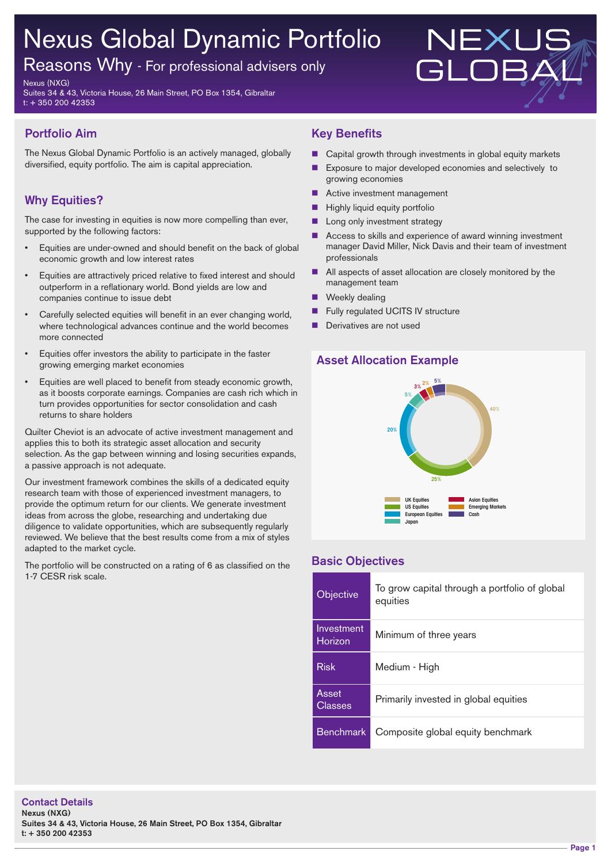# Nexus Global Dynamic Portfolio

Reasons Why - For professional advisers only

Nexus (NXG)

Suites 34 & 43, Victoria House, 26 Main Street, PO Box 1354, Gibraltar t: + 350 200 42353

# **Portfolio Aim**

The Nexus Global Dynamic Portfolio is an actively managed, globally diversified, equity portfolio. The aim is capital appreciation.

# **Why Equities?**

The case for investing in equities is now more compelling than ever, supported by the following factors:

- Equities are under-owned and should benefit on the back of global economic growth and low interest rates
- Equities are attractively priced relative to fixed interest and should outperform in a reflationary world. Bond yields are low and companies continue to issue debt
- Carefully selected equities will benefit in an ever changing world, where technological advances continue and the world becomes more connected
- Equities offer investors the ability to participate in the faster growing emerging market economies
- Equities are well placed to benefit from steady economic growth, as it boosts corporate earnings. Companies are cash rich which in turn provides opportunities for sector consolidation and cash returns to share holders

Quilter Cheviot is an advocate of active investment management and applies this to both its strategic asset allocation and security selection. As the gap between winning and losing securities expands, a passive approach is not adequate.

Our investment framework combines the skills of a dedicated equity research team with those of experienced investment managers, to provide the optimum return for our clients. We generate investment ideas from across the globe, researching and undertaking due diligence to validate opportunities, which are subsequently regularly reviewed. We believe that the best results come from a mix of styles adapted to the market cycle.

The portfolio will be constructed on a rating of 6 as classified on the 1-7 CESR risk scale.

### **Key Benefits**

 $\blacksquare$  Capital growth through investments in global equity markets

NEXI

- Exposure to major developed economies and selectively to growing economies
- Active investment management
- $\blacksquare$  Highly liquid equity portfolio
- **n** Long only investment strategy
- Access to skills and experience of award winning investment manager David Miller, Nick Davis and their team of investment professionals
- $\blacksquare$  All aspects of asset allocation are closely monitored by the management team
- $\blacksquare$  Weekly dealing
- Fully regulated UCITS IV structure
- Derivatives are not used

### **Asset Allocation Example**



#### **Basic Objectives**

| <b>Objective</b>      | To grow capital through a portfolio of global<br>equities |
|-----------------------|-----------------------------------------------------------|
| Investment<br>Horizon | Minimum of three years                                    |
| <b>Risk</b>           | Medium - High                                             |
| Asset<br>Classes      | Primarily invested in global equities                     |
| <b>Benchmark</b>      | Composite global equity benchmark                         |